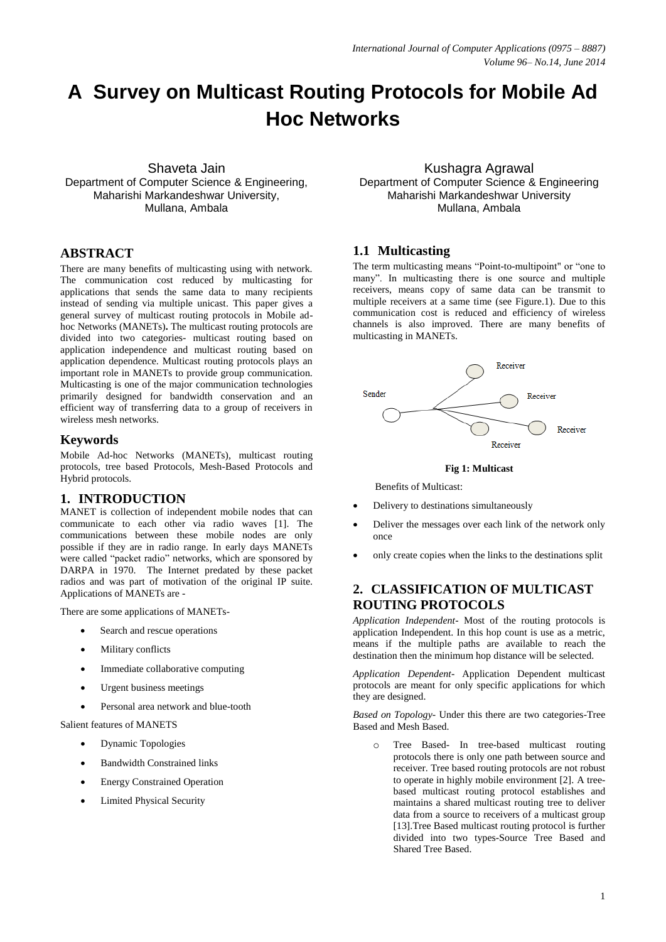# **A Survey on Multicast Routing Protocols for Mobile Ad Hoc Networks**

Shaveta Jain Department of Computer Science & Engineering, Maharishi Markandeshwar University, Mullana, Ambala

# **ABSTRACT**

There are many benefits of multicasting using with network. The communication cost reduced by multicasting for applications that sends the same data to many recipients instead of sending via multiple unicast. This paper gives a general survey of multicast routing protocols in Mobile adhoc Networks (MANETs)**.** The multicast routing protocols are divided into two categories- multicast routing based on application independence and multicast routing based on application dependence. Multicast routing protocols plays an important role in MANETs to provide group communication. Multicasting is one of the major communication technologies primarily designed for bandwidth conservation and an efficient way of transferring data to a group of receivers in wireless mesh networks.

## **Keywords**

Mobile Ad-hoc Networks (MANETs), multicast routing protocols, tree based Protocols, Mesh-Based Protocols and Hybrid protocols.

# **1. INTRODUCTION**

MANET is collection of independent mobile nodes that can communicate to each other via radio waves [1]. The communications between these mobile nodes are only possible if they are in radio range. In early days MANETs were called "packet radio" networks, which are sponsored by DARPA in 1970. The Internet predated by these packet radios and was part of motivation of the original IP suite. Applications of MANETs are -

There are some applications of MANETs-

- Search and rescue operations
- Military conflicts
- Immediate collaborative computing
- Urgent business meetings
- Personal area network and blue-tooth

Salient features of MANETS

- Dynamic Topologies
- Bandwidth Constrained links
- Energy Constrained Operation
- Limited Physical Security

Kushagra Agrawal Department of Computer Science & Engineering Maharishi Markandeshwar University Mullana, Ambala

## **1.1 Multicasting**

The term multicasting means "Point-to-multipoint" or "one to many". In multicasting there is one source and multiple receivers, means copy of same data can be transmit to multiple receivers at a same time (see Figure.1). Due to this communication cost is reduced and efficiency of wireless channels is also improved. There are many benefits of multicasting in MANETs.





Benefits of Multicast:

- Delivery to destinations simultaneously
- Deliver the messages over each link of the network only once
- only create copies when the links to the destinations split

# **2. CLASSIFICATION OF MULTICAST ROUTING PROTOCOLS**

*Application Independent*- Most of the routing protocols is application Independent. In this hop count is use as a metric, means if the multiple paths are available to reach the destination then the minimum hop distance will be selected.

*Application Dependent*- Application Dependent multicast protocols are meant for only specific applications for which they are designed.

*Based on Topology-* Under this there are two categories-Tree Based and Mesh Based.

Tree Based- In tree-based multicast routing protocols there is only one path between source and receiver. Tree based routing protocols are not robust to operate in highly mobile environment [2]. A treebased multicast routing protocol establishes and maintains a shared multicast routing tree to deliver data from a source to receivers of a multicast group [13].Tree Based multicast routing protocol is further divided into two types-Source Tree Based and Shared Tree Based.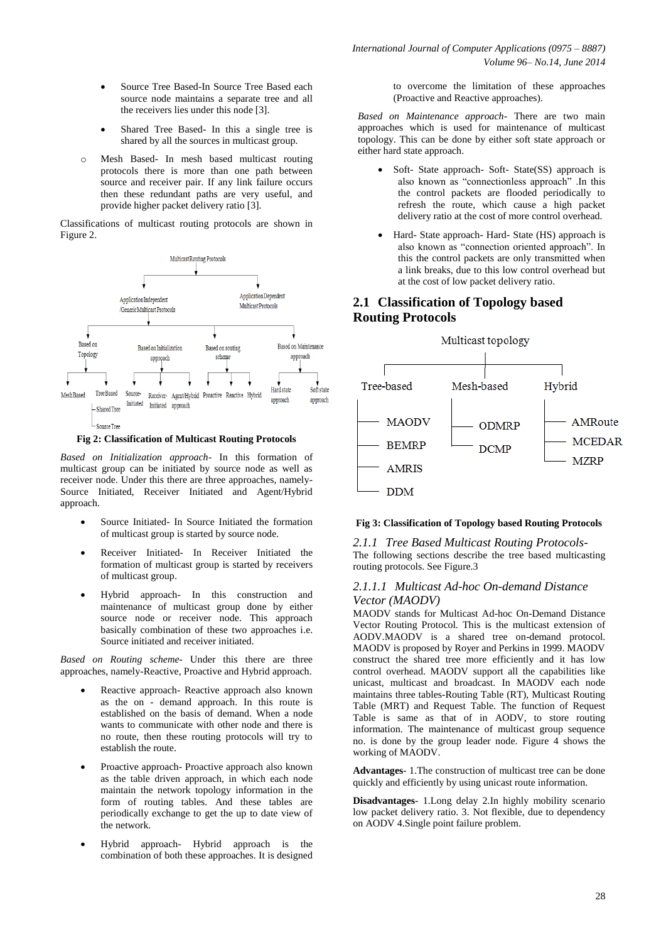- Source Tree Based-In Source Tree Based each source node maintains a separate tree and all the receivers lies under this node [3].
- Shared Tree Based*-* In this a single tree is shared by all the sources in multicast group.
- Mesh Based- In mesh based multicast routing protocols there is more than one path between source and receiver pair. If any link failure occurs then these redundant paths are very useful, and provide higher packet delivery ratio [3].

Classifications of multicast routing protocols are shown in Figure 2.



**Fig 2: Classification of Multicast Routing Protocols**

*Based on Initialization approach*- In this formation of multicast group can be initiated by source node as well as receiver node. Under this there are three approaches, namely-Source Initiated, Receiver Initiated and Agent/Hybrid approach.

- Source Initiated- In Source Initiated the formation of multicast group is started by source node.
- Receiver Initiated- In Receiver Initiated the formation of multicast group is started by receivers of multicast group.
- Hybrid approach- In this construction and maintenance of multicast group done by either source node or receiver node. This approach basically combination of these two approaches i.e. Source initiated and receiver initiated.

*Based on Routing scheme-* Under this there are three approaches, namely-Reactive, Proactive and Hybrid approach.

- Reactive approach- Reactive approach also known as the on - demand approach. In this route is established on the basis of demand. When a node wants to communicate with other node and there is no route, then these routing protocols will try to establish the route.
- Proactive approach- Proactive approach also known as the table driven approach, in which each node maintain the network topology information in the form of routing tables. And these tables are periodically exchange to get the up to date view of the network.
- Hybrid approach- Hybrid approach is the combination of both these approaches. It is designed

to overcome the limitation of these approaches (Proactive and Reactive approaches).

*Based on Maintenance approach*- There are two main approaches which is used for maintenance of multicast topology. This can be done by either soft state approach or either hard state approach.

- Soft- State approach- Soft- State(SS) approach is also known as "connectionless approach" .In this the control packets are flooded periodically to refresh the route, which cause a high packet delivery ratio at the cost of more control overhead.
- Hard- State approach- Hard- State (HS) approach is also known as "connection oriented approach". In this the control packets are only transmitted when a link breaks, due to this low control overhead but at the cost of low packet delivery ratio.

# **2.1 Classification of Topology based Routing Protocols**



#### **Fig 3: Classification of Topology based Routing Protocols**

*2.1.1 Tree Based Multicast Routing Protocols-*The following sections describe the tree based multicasting routing protocols. See Figure.3

#### *2.1.1.1 Multicast Ad-hoc On-demand Distance Vector (MAODV)*

MAODV stands for Multicast Ad-hoc On-Demand Distance Vector Routing Protocol. This is the multicast extension of AODV.MAODV is a shared tree on-demand protocol. MAODV is proposed by Royer and Perkins in 1999. MAODV construct the shared tree more efficiently and it has low control overhead. MAODV support all the capabilities like unicast, multicast and broadcast. In MAODV each node maintains three tables-Routing Table (RT), Multicast Routing Table (MRT) and Request Table. The function of Request Table is same as that of in AODV, to store routing information. The maintenance of multicast group sequence no. is done by the group leader node. Figure 4 shows the working of MAODV.

**Advantages**- 1.The construction of multicast tree can be done quickly and efficiently by using unicast route information.

**Disadvantages**- 1.Long delay 2.In highly mobility scenario low packet delivery ratio. 3. Not flexible, due to dependency on AODV 4.Single point failure problem.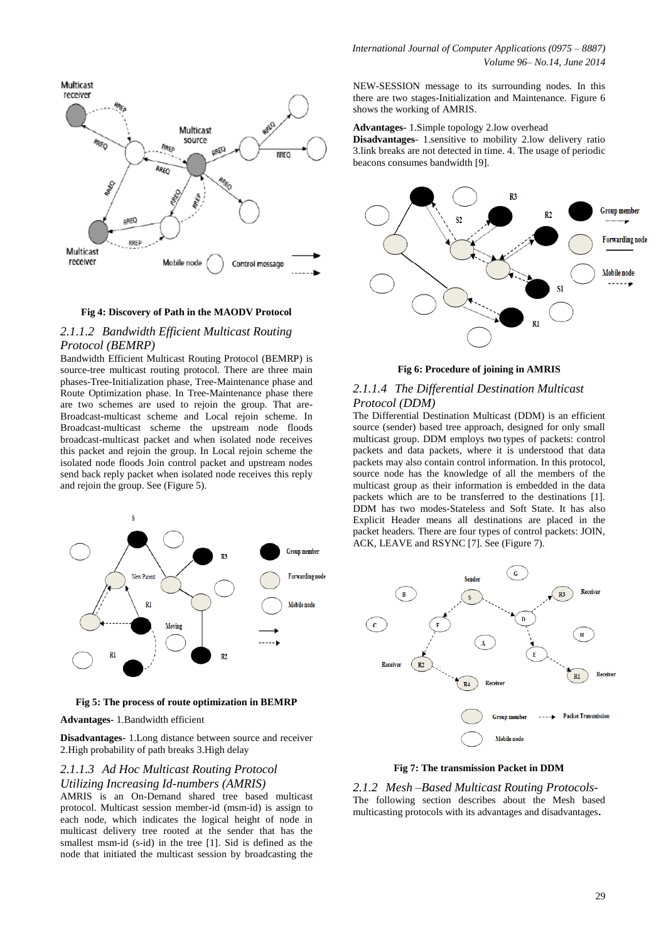**Multicast** receiver Multicast source **RREQ** RREQ RREP RRFO RREO DREC **RREP** Multicast receiver Mobile node Control message

#### **Fig 4: Discovery of Path in the MAODV Protocol**

#### *2.1.1.2 Bandwidth Efficient Multicast Routing Protocol (BEMRP)*

Bandwidth Efficient Multicast Routing Protocol (BEMRP) is source-tree multicast routing protocol. There are three main phases-Tree-Initialization phase, Tree-Maintenance phase and Route Optimization phase. In Tree-Maintenance phase there are two schemes are used to rejoin the group. That are-Broadcast-multicast scheme and Local rejoin scheme. In Broadcast-multicast scheme the upstream node floods broadcast-multicast packet and when isolated node receives this packet and rejoin the group. In Local rejoin scheme the isolated node floods Join control packet and upstream nodes send back reply packet when isolated node receives this reply and rejoin the group. See (Figure 5).



**Fig 5: The process of route optimization in BEMRP** 

**Advantages-** 1.Bandwidth efficient

**Disadvantages-** 1.Long distance between source and receiver 2.High probability of path breaks 3.High delay

#### *2.1.1.3 Ad Hoc Multicast Routing Protocol Utilizing Increasing Id-numbers (AMRIS)*

AMRIS is an On-Demand shared tree based multicast protocol. Multicast session member-id (msm-id) is assign to each node, which indicates the logical height of node in multicast delivery tree rooted at the sender that has the smallest msm-id (s-id) in the tree [1]. Sid is defined as the node that initiated the multicast session by broadcasting the

NEW-SESSION message to its surrounding nodes. In this there are two stages-Initialization and Maintenance. Figure 6 shows the working of AMRIS.

**Advantages-** 1.Simple topology 2.low overhead

**Disadvantages**- 1.sensitive to mobility 2.low delivery ratio 3.link breaks are not detected in time. 4. The usage of periodic beacons consumes bandwidth [9].



**Fig 6: Procedure of joining in AMRIS**

#### *2.1.1.4 The Differential Destination Multicast Protocol (DDM)*

The Differential Destination Multicast (DDM) is an efficient source (sender) based tree approach, designed for only small multicast group. DDM employs two types of packets: control packets and data packets, where it is understood that data packets may also contain control information. In this protocol, source node has the knowledge of all the members of the multicast group as their information is embedded in the data packets which are to be transferred to the destinations [1]. DDM has two modes-Stateless and Soft State. It has also Explicit Header means all destinations are placed in the packet headers. There are four types of control packets: JOIN, ACK, LEAVE and RSYNC [7]. See (Figure 7).



**Fig 7: The transmission Packet in DDM** 

*2.1.2 Mesh –Based Multicast Routing Protocols-*The following section describes about the Mesh based multicasting protocols with its advantages and disadvantages**.**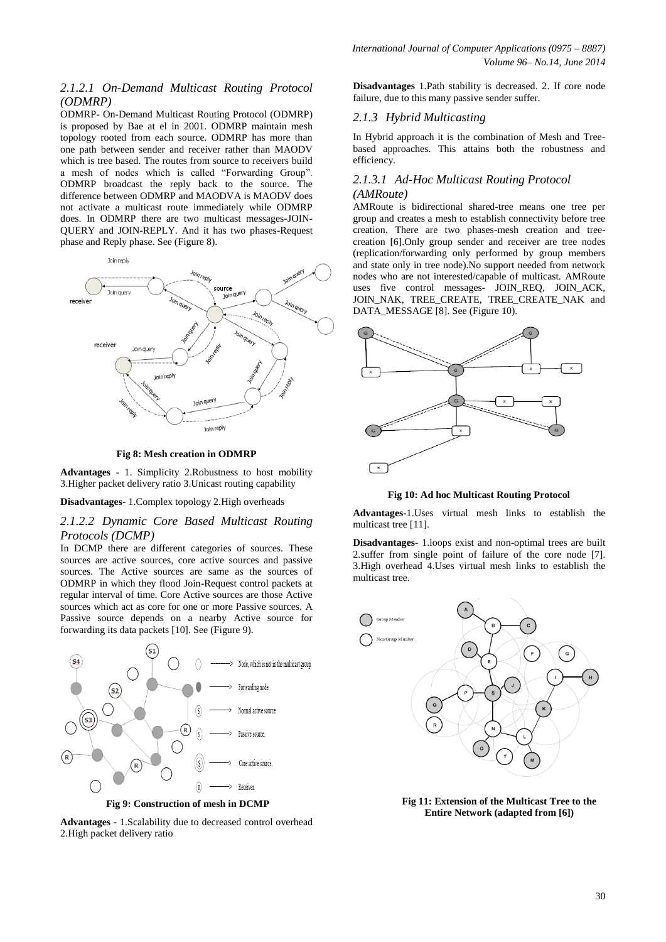#### *2.1.2.1 On-Demand Multicast Routing Protocol (ODMRP)*

ODMRP- On-Demand Multicast Routing Protocol (ODMRP) is proposed by Bae at el in 2001. ODMRP maintain mesh topology rooted from each source. ODMRP has more than one path between sender and receiver rather than MAODV which is tree based. The routes from source to receivers build a mesh of nodes which is called "Forwarding Group". ODMRP broadcast the reply back to the source. The difference between ODMRP and MAODVA is MAODV does not activate a multicast route immediately while ODMRP does. In ODMRP there are two multicast messages-JOIN-QUERY and JOIN-REPLY. And it has two phases-Request phase and Reply phase. See (Figure 8).



**Fig 8: Mesh creation in ODMRP**

**Advantages** - 1. Simplicity 2.Robustness to host mobility 3.Higher packet delivery ratio 3.Unicast routing capability

**Disadvantages**- 1.Complex topology 2.High overheads

#### *2.1.2.2 Dynamic Core Based Multicast Routing Protocols (DCMP)*

In DCMP there are different categories of sources. These sources are active sources, core active sources and passive sources. The Active sources are same as the sources of ODMRP in which they flood Join-Request control packets at regular interval of time. Core Active sources are those Active sources which act as core for one or more Passive sources. A Passive source depends on a nearby Active source for forwarding its data packets [10]. See (Figure 9).



**Advantages -** 1.Scalability due to decreased control overhead 2.High packet delivery ratio

**Disadvantages** 1.Path stability is decreased. 2. If core node failure, due to this many passive sender suffer.

#### *2.1.3 Hybrid Multicasting*

In Hybrid approach it is the combination of Mesh and Treebased approaches. This attains both the robustness and efficiency.

#### *2.1.3.1 Ad-Hoc Multicast Routing Protocol (AMRoute)*

AMRoute is bidirectional shared-tree means one tree per group and creates a mesh to establish connectivity before tree creation. There are two phases-mesh creation and treecreation [6].Only group sender and receiver are tree nodes (replication/forwarding only performed by group members and state only in tree node).No support needed from network nodes who are not interested/capable of multicast. AMRoute uses five control messages- JOIN\_REQ, JOIN\_ACK, JOIN\_NAK, TREE\_CREATE, TREE\_CREATE\_NAK and DATA\_MESSAGE [8]. See (Figure 10).



**Fig 10: Ad hoc Multicast Routing Protocol**

**Advantages-**1.Uses virtual mesh links to establish the multicast tree [11].

**Disadvantages**- 1.loops exist and non-optimal trees are built 2.suffer from single point of failure of the core node [7]. 3.High overhead 4.Uses virtual mesh links to establish the multicast tree.



**Fig 11: Extension of the Multicast Tree to the Entire Network (adapted from [6])**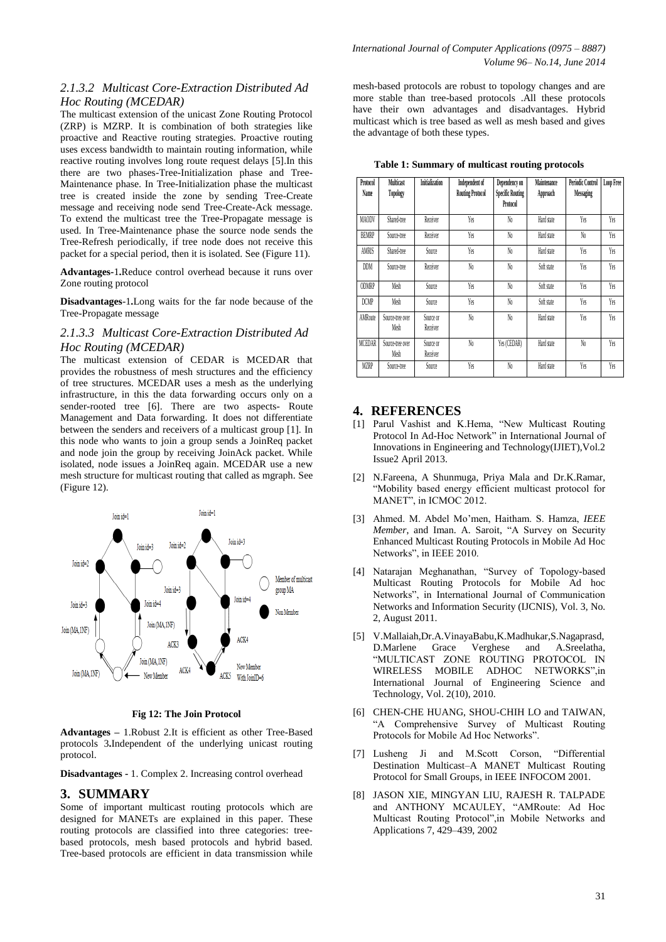# *2.1.3.2 Multicast Core-Extraction Distributed Ad Hoc Routing (MCEDAR)*

The multicast extension of the unicast Zone Routing Protocol (ZRP) is MZRP. It is combination of both strategies like proactive and Reactive routing strategies. Proactive routing uses excess bandwidth to maintain routing information, while reactive routing involves long route request delays [5].In this there are two phases-Tree-Initialization phase and Tree-Maintenance phase. In Tree-Initialization phase the multicast tree is created inside the zone by sending Tree-Create message and receiving node send Tree-Create-Ack message. To extend the multicast tree the Tree-Propagate message is used. In Tree-Maintenance phase the source node sends the Tree-Refresh periodically, if tree node does not receive this packet for a special period, then it is isolated. See (Figure 11).

**Advantages-**1**.**Reduce control overhead because it runs over Zone routing protocol

**Disadvantages**-1**.**Long waits for the far node because of the Tree-Propagate message

## *2.1.3.3 Multicast Core-Extraction Distributed Ad Hoc Routing (MCEDAR)*

The multicast extension of CEDAR is MCEDAR that provides the robustness of mesh structures and the efficiency of tree structures. MCEDAR uses a mesh as the underlying infrastructure, in this the data forwarding occurs only on a sender-rooted tree [6]. There are two aspects- Route Management and Data forwarding. It does not differentiate between the senders and receivers of a multicast group [1]. In this node who wants to join a group sends a JoinReq packet and node join the group by receiving JoinAck packet. While isolated, node issues a JoinReq again. MCEDAR use a new mesh structure for multicast routing that called as mgraph. See (Figure 12).



**Fig 12: The Join Protocol**

**Advantages –** 1.Robust 2.It is efficient as other Tree-Based protocols 3**.**Independent of the underlying unicast routing protocol.

**Disadvantages -** 1. Complex 2. Increasing control overhead

# **3. SUMMARY**

Some of important multicast routing protocols which are designed for MANETs are explained in this paper. These routing protocols are classified into three categories: treebased protocols, mesh based protocols and hybrid based. Tree-based protocols are efficient in data transmission while

mesh-based protocols are robust to topology changes and are more stable than tree-based protocols .All these protocols have their own advantages and disadvantages. Hybrid multicast which is tree based as well as mesh based and gives the advantage of both these types.

**Table 1: Summary of multicast routing protocols**

| Protocol<br>Name | <b>Multicast</b><br>Topology | <b>Initialization</b> | Independent of<br><b>Routing Protocol</b> | Dependency on<br><b>Specific Routing</b><br>Protocol | Maintenance<br>Approach | <b>Periodic Control</b><br>Messaging | Loop Free |
|------------------|------------------------------|-----------------------|-------------------------------------------|------------------------------------------------------|-------------------------|--------------------------------------|-----------|
| MAODV            | Shared-tree                  | Receiver              | Yes                                       | No.                                                  | Hard state              | Yes                                  | Yes       |
| <b>BEMRP</b>     | Source-tree                  | Receiver              | Yes                                       | No.                                                  | Hard state              | No.                                  | Yes       |
| AMRIS            | Shared-tree                  | Source                | Yes                                       | No.                                                  | Hard state              | Yes                                  | Yes       |
| <b>DDM</b>       | Source-tree                  | Receiver              | No.                                       | No.                                                  | Soft state              | Yes                                  | Yes       |
| <b>ODMRP</b>     | Mesh                         | Source                | Yes                                       | No.                                                  | Soft state              | Yes                                  | Yes       |
| <b>DCMP</b>      | Mesh                         | Source                | Yes                                       | No.                                                  | Soft state              | Yes                                  | Yes       |
| <b>AMRoute</b>   | Source-tree over<br>Mesh     | Source or<br>Receiver | No.                                       | No.                                                  | Hard state              | Yes                                  | Yes       |
| <b>MCEDAR</b>    | Source-tree over<br>Mesh     | Source or<br>Receiver | No.                                       | Yes (CEDAR)                                          | Hard state              | N <sub>0</sub>                       | Yes       |
| <b>MZRP</b>      | Source-tree                  | Source                | Yes                                       | No.                                                  | Hard state              | Yes                                  | Yes       |

# **4. REFERENCES**

- [1] Parul Vashist and K.Hema, "New Multicast Routing Protocol In Ad-Hoc Network" in International Journal of Innovations in Engineering and Technology(IJIET),Vol.2 Issue2 April 2013.
- [2] N.Fareena, A Shunmuga, Priya Mala and Dr.K.Ramar, "Mobility based energy efficient multicast protocol for MANET", in ICMOC 2012.
- [3] Ahmed. M. Abdel Mo'men, Haitham. S. Hamza, *IEEE Member*, and Iman. A. Saroit, "A Survey on Security Enhanced Multicast Routing Protocols in Mobile Ad Hoc Networks", in IEEE 2010.
- [4] Natarajan Meghanathan, "Survey of Topology-based Multicast Routing Protocols for Mobile Ad hoc Networks", in International Journal of Communication Networks and Information Security (IJCNIS), Vol. 3, No. 2, August 2011.
- [5] V.Mallaiah,Dr.A.VinayaBabu,K.Madhukar,S.Nagaprasd, D.Marlene Grace Verghese and A.Sreelatha, "MULTICAST ZONE ROUTING PROTOCOL IN WIRELESS MOBILE ADHOC NETWORKS",in International Journal of Engineering Science and Technology, Vol. 2(10), 2010.
- [6] CHEN-CHE HUANG, SHOU-CHIH LO and TAIWAN, "A Comprehensive Survey of Multicast Routing Protocols for Mobile Ad Hoc Networks".
- [7] Lusheng Ji and M.Scott Corson, "Differential Destination Multicast–A MANET Multicast Routing Protocol for Small Groups, in IEEE INFOCOM 2001.
- [8] JASON XIE, MINGYAN LIU, RAJESH R. TALPADE and ANTHONY MCAULEY, "AMRoute: Ad Hoc Multicast Routing Protocol",in Mobile Networks and Applications 7, 429–439, 2002